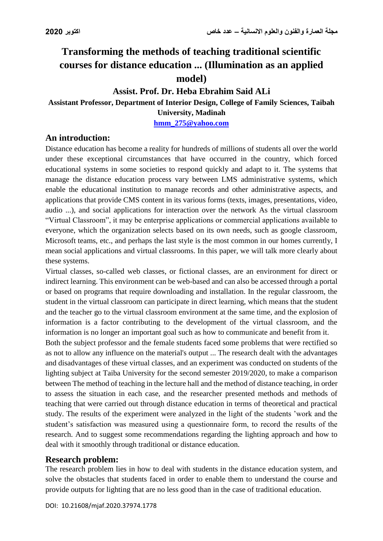# **Transforming the methods of teaching traditional scientific courses for distance education ... (Illumination as an applied model)**

# **Assist. Prof. Dr. Heba Ebrahim Said ALi**

# **Assistant Professor, Department of Interior Design, College of Family Sciences, Taibah**

**University, Madinah**

**[hmm\\_275@yahoo.com](mailto:hmm_275@yahoo.com)**

## **An introduction:**

Distance education has become a reality for hundreds of millions of students all over the world under these exceptional circumstances that have occurred in the country, which forced educational systems in some societies to respond quickly and adapt to it. The systems that manage the distance education process vary between LMS administrative systems, which enable the educational institution to manage records and other administrative aspects, and applications that provide CMS content in its various forms (texts, images, presentations, video, audio ...), and social applications for interaction over the network As the virtual classroom "Virtual Classroom", it may be enterprise applications or commercial applications available to everyone, which the organization selects based on its own needs, such as google classroom, Microsoft teams, etc., and perhaps the last style is the most common in our homes currently, I mean social applications and virtual classrooms. In this paper, we will talk more clearly about these systems.

Virtual classes, so-called web classes, or fictional classes, are an environment for direct or indirect learning. This environment can be web-based and can also be accessed through a portal or based on programs that require downloading and installation. In the regular classroom, the student in the virtual classroom can participate in direct learning, which means that the student and the teacher go to the virtual classroom environment at the same time, and the explosion of information is a factor contributing to the development of the virtual classroom, and the information is no longer an important goal such as how to communicate and benefit from it.

Both the subject professor and the female students faced some problems that were rectified so as not to allow any influence on the material's output ... The research dealt with the advantages and disadvantages of these virtual classes, and an experiment was conducted on students of the lighting subject at Taiba University for the second semester 2019/2020, to make a comparison between The method of teaching in the lecture hall and the method of distance teaching, in order to assess the situation in each case, and the researcher presented methods and methods of teaching that were carried out through distance education in terms of theoretical and practical study. The results of the experiment were analyzed in the light of the students 'work and the student's satisfaction was measured using a questionnaire form, to record the results of the research. And to suggest some recommendations regarding the lighting approach and how to deal with it smoothly through traditional or distance education.

#### **Research problem:**

The research problem lies in how to deal with students in the distance education system, and solve the obstacles that students faced in order to enable them to understand the course and provide outputs for lighting that are no less good than in the case of traditional education.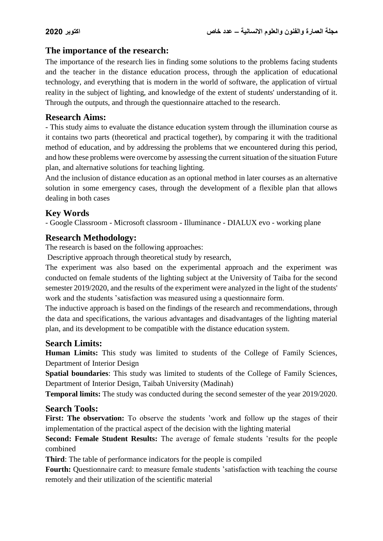#### **The importance of the research:**

The importance of the research lies in finding some solutions to the problems facing students and the teacher in the distance education process, through the application of educational technology, and everything that is modern in the world of software, the application of virtual reality in the subject of lighting, and knowledge of the extent of students' understanding of it. Through the outputs, and through the questionnaire attached to the research.

#### **Research Aims:**

- This study aims to evaluate the distance education system through the illumination course as it contains two parts (theoretical and practical together), by comparing it with the traditional method of education, and by addressing the problems that we encountered during this period, and how these problems were overcome by assessing the current situation of the situation Future plan, and alternative solutions for teaching lighting.

And the inclusion of distance education as an optional method in later courses as an alternative solution in some emergency cases, through the development of a flexible plan that allows dealing in both cases

#### **Key Words**

- Google Classroom - Microsoft classroom - Illuminance - DIALUX evo - working plane

#### **Research Methodology:**

The research is based on the following approaches:

Descriptive approach through theoretical study by research,

The experiment was also based on the experimental approach and the experiment was conducted on female students of the lighting subject at the University of Taiba for the second semester 2019/2020, and the results of the experiment were analyzed in the light of the students' work and the students 'satisfaction was measured using a questionnaire form.

The inductive approach is based on the findings of the research and recommendations, through the data and specifications, the various advantages and disadvantages of the lighting material plan, and its development to be compatible with the distance education system.

#### **Search Limits:**

**Human Limits:** This study was limited to students of the College of Family Sciences, Department of Interior Design

**Spatial boundaries**: This study was limited to students of the College of Family Sciences, Department of Interior Design, Taibah University (Madinah)

**Temporal limits:** The study was conducted during the second semester of the year 2019/2020.

#### **Search Tools:**

First: The observation: To observe the students 'work and follow up the stages of their implementation of the practical aspect of the decision with the lighting material

**Second: Female Student Results:** The average of female students 'results for the people combined

**Third**: The table of performance indicators for the people is compiled

**Fourth:** Questionnaire card: to measure female students 'satisfaction with teaching the course remotely and their utilization of the scientific material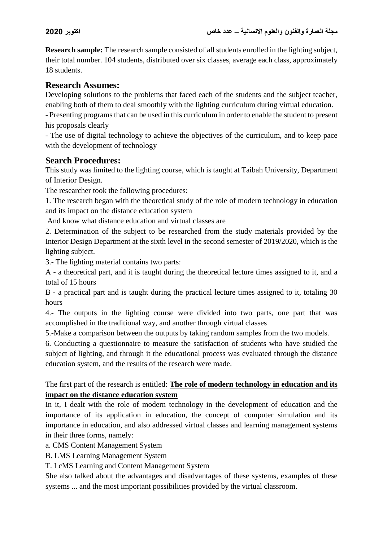**Research sample:** The research sample consisted of all students enrolled in the lighting subject, their total number. 104 students, distributed over six classes, average each class, approximately 18 students.

# **Research Assumes:**

Developing solutions to the problems that faced each of the students and the subject teacher, enabling both of them to deal smoothly with the lighting curriculum during virtual education.

- Presenting programs that can be used in this curriculum in order to enable the student to present his proposals clearly

- The use of digital technology to achieve the objectives of the curriculum, and to keep pace with the development of technology

## **Search Procedures:**

This study was limited to the lighting course, which is taught at Taibah University, Department of Interior Design.

The researcher took the following procedures:

1. The research began with the theoretical study of the role of modern technology in education and its impact on the distance education system

And know what distance education and virtual classes are

2. Determination of the subject to be researched from the study materials provided by the Interior Design Department at the sixth level in the second semester of 2019/2020, which is the lighting subject.

3.- The lighting material contains two parts:

A - a theoretical part, and it is taught during the theoretical lecture times assigned to it, and a total of 15 hours

B - a practical part and is taught during the practical lecture times assigned to it, totaling 30 hours

4.- The outputs in the lighting course were divided into two parts, one part that was accomplished in the traditional way, and another through virtual classes

5.-Make a comparison between the outputs by taking random samples from the two models.

6. Conducting a questionnaire to measure the satisfaction of students who have studied the subject of lighting, and through it the educational process was evaluated through the distance education system, and the results of the research were made.

#### The first part of the research is entitled: **The role of modern technology in education and its impact on the distance education system**

In it, I dealt with the role of modern technology in the development of education and the importance of its application in education, the concept of computer simulation and its importance in education, and also addressed virtual classes and learning management systems in their three forms, namely:

a. CMS Content Management System

B. LMS Learning Management System

T. LcMS Learning and Content Management System

She also talked about the advantages and disadvantages of these systems, examples of these systems ... and the most important possibilities provided by the virtual classroom.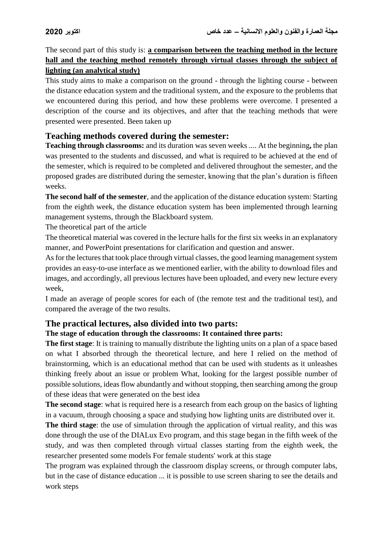The second part of this study is: **a comparison between the teaching method in the lecture hall and the teaching method remotely through virtual classes through the subject of lighting (an analytical study)**

This study aims to make a comparison on the ground - through the lighting course - between the distance education system and the traditional system, and the exposure to the problems that we encountered during this period, and how these problems were overcome. I presented a description of the course and its objectives, and after that the teaching methods that were presented were presented. Been taken up

#### **Teaching methods covered during the semester:**

**Teaching through classrooms:** and its duration was seven weeks .... At the beginning**,** the plan was presented to the students and discussed, and what is required to be achieved at the end of the semester, which is required to be completed and delivered throughout the semester, and the proposed grades are distributed during the semester, knowing that the plan's duration is fifteen weeks.

**The second half of the semester**, and the application of the distance education system: Starting from the eighth week, the distance education system has been implemented through learning management systems, through the Blackboard system.

The theoretical part of the article

The theoretical material was covered in the lecture halls for the first six weeks in an explanatory manner, and PowerPoint presentations for clarification and question and answer.

As for the lectures that took place through virtual classes, the good learning management system provides an easy-to-use interface as we mentioned earlier, with the ability to download files and images, and accordingly, all previous lectures have been uploaded, and every new lecture every week,

I made an average of people scores for each of (the remote test and the traditional test), and compared the average of the two results.

#### **The practical lectures, also divided into two parts:**

#### **The stage of education through the classrooms: It contained three parts:**

**The first stage**: It is training to manually distribute the lighting units on a plan of a space based on what I absorbed through the theoretical lecture, and here I relied on the method of brainstorming, which is an educational method that can be used with students as it unleashes thinking freely about an issue or problem What, looking for the largest possible number of possible solutions, ideas flow abundantly and without stopping, then searching among the group of these ideas that were generated on the best idea

**The second stage**: what is required here is a research from each group on the basics of lighting in a vacuum, through choosing a space and studying how lighting units are distributed over it.

**The third stage**: the use of simulation through the application of virtual reality, and this was done through the use of the DIALux Evo program, and this stage began in the fifth week of the study, and was then completed through virtual classes starting from the eighth week, the researcher presented some models For female students' work at this stage

The program was explained through the classroom display screens, or through computer labs, but in the case of distance education ... it is possible to use screen sharing to see the details and work steps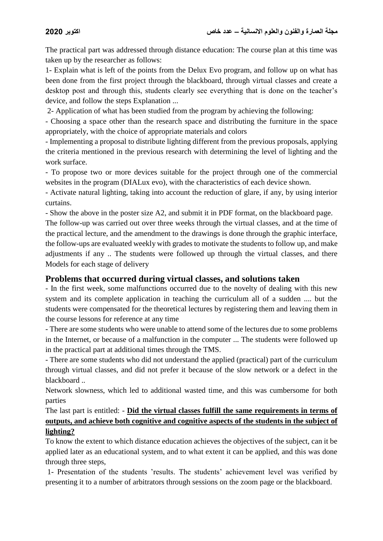The practical part was addressed through distance education: The course plan at this time was taken up by the researcher as follows:

1- Explain what is left of the points from the Delux Evo program, and follow up on what has been done from the first project through the blackboard, through virtual classes and create a desktop post and through this, students clearly see everything that is done on the teacher's device, and follow the steps Explanation ...

2- Application of what has been studied from the program by achieving the following:

- Choosing a space other than the research space and distributing the furniture in the space appropriately, with the choice of appropriate materials and colors

- Implementing a proposal to distribute lighting different from the previous proposals, applying the criteria mentioned in the previous research with determining the level of lighting and the work surface.

- To propose two or more devices suitable for the project through one of the commercial websites in the program (DIALux evo), with the characteristics of each device shown.

- Activate natural lighting, taking into account the reduction of glare, if any, by using interior curtains.

- Show the above in the poster size A2, and submit it in PDF format, on the blackboard page.

The follow-up was carried out over three weeks through the virtual classes, and at the time of the practical lecture, and the amendment to the drawings is done through the graphic interface, the follow-ups are evaluated weekly with grades to motivate the students to follow up, and make adjustments if any .. The students were followed up through the virtual classes, and there Models for each stage of delivery

# **Problems that occurred during virtual classes, and solutions taken**

- In the first week, some malfunctions occurred due to the novelty of dealing with this new system and its complete application in teaching the curriculum all of a sudden .... but the students were compensated for the theoretical lectures by registering them and leaving them in the course lessons for reference at any time

- There are some students who were unable to attend some of the lectures due to some problems in the Internet, or because of a malfunction in the computer ... The students were followed up in the practical part at additional times through the TMS.

- There are some students who did not understand the applied (practical) part of the curriculum through virtual classes, and did not prefer it because of the slow network or a defect in the blackboard ..

Network slowness, which led to additional wasted time, and this was cumbersome for both parties

## The last part is entitled: - **Did the virtual classes fulfill the same requirements in terms of outputs, and achieve both cognitive and cognitive aspects of the students in the subject of lighting?**

To know the extent to which distance education achieves the objectives of the subject, can it be applied later as an educational system, and to what extent it can be applied, and this was done through three steps,

1- Presentation of the students 'results. The students' achievement level was verified by presenting it to a number of arbitrators through sessions on the zoom page or the blackboard.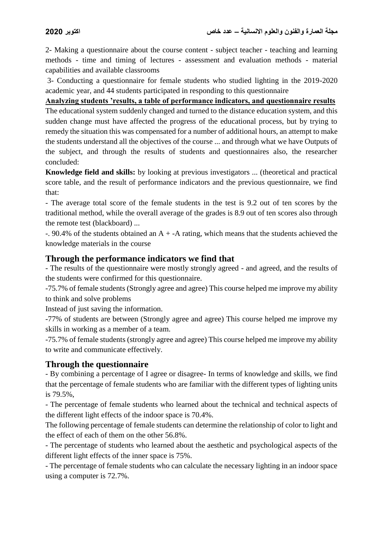2- Making a questionnaire about the course content - subject teacher - teaching and learning methods - time and timing of lectures - assessment and evaluation methods - material capabilities and available classrooms

3- Conducting a questionnaire for female students who studied lighting in the 2019-2020 academic year, and 44 students participated in responding to this questionnaire

**Analyzing students 'results, a table of performance indicators, and questionnaire results**

The educational system suddenly changed and turned to the distance education system, and this sudden change must have affected the progress of the educational process, but by trying to remedy the situation this was compensated for a number of additional hours, an attempt to make the students understand all the objectives of the course ... and through what we have Outputs of the subject, and through the results of students and questionnaires also, the researcher concluded:

**Knowledge field and skills:** by looking at previous investigators ... (theoretical and practical score table, and the result of performance indicators and the previous questionnaire, we find that:

- The average total score of the female students in the test is 9.2 out of ten scores by the traditional method, while the overall average of the grades is 8.9 out of ten scores also through the remote test (blackboard) ...

 $-$ . 90.4% of the students obtained an A + -A rating, which means that the students achieved the knowledge materials in the course

#### **Through the performance indicators we find that**

- The results of the questionnaire were mostly strongly agreed - and agreed, and the results of the students were confirmed for this questionnaire.

-75.7% of female students (Strongly agree and agree) This course helped me improve my ability to think and solve problems

Instead of just saving the information.

-77% of students are between (Strongly agree and agree) This course helped me improve my skills in working as a member of a team.

-75.7% of female students (strongly agree and agree) This course helped me improve my ability to write and communicate effectively.

#### **Through the questionnaire**

- By combining a percentage of I agree or disagree- In terms of knowledge and skills, we find that the percentage of female students who are familiar with the different types of lighting units is 79.5%,

- The percentage of female students who learned about the technical and technical aspects of the different light effects of the indoor space is 70.4%.

The following percentage of female students can determine the relationship of color to light and the effect of each of them on the other 56.8%.

- The percentage of students who learned about the aesthetic and psychological aspects of the different light effects of the inner space is 75%.

- The percentage of female students who can calculate the necessary lighting in an indoor space using a computer is 72.7%.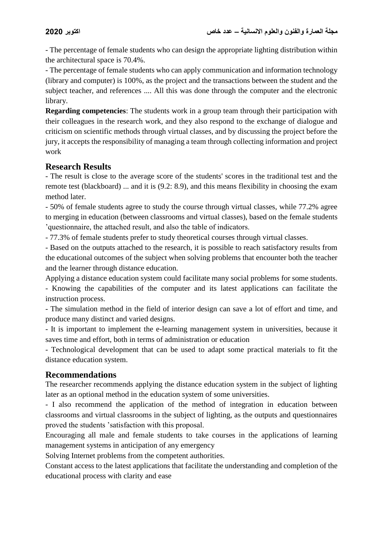- The percentage of female students who can design the appropriate lighting distribution within the architectural space is 70.4%.

- The percentage of female students who can apply communication and information technology (library and computer) is 100%, as the project and the transactions between the student and the subject teacher, and references .... All this was done through the computer and the electronic library.

**Regarding competencies**: The students work in a group team through their participation with their colleagues in the research work, and they also respond to the exchange of dialogue and criticism on scientific methods through virtual classes, and by discussing the project before the jury, it accepts the responsibility of managing a team through collecting information and project work

## **Research Results**

- The result is close to the average score of the students' scores in the traditional test and the remote test (blackboard) ... and it is (9.2: 8.9), and this means flexibility in choosing the exam method later.

- 50% of female students agree to study the course through virtual classes, while 77.2% agree to merging in education (between classrooms and virtual classes), based on the female students 'questionnaire, the attached result, and also the table of indicators.

- 77.3% of female students prefer to study theoretical courses through virtual classes.

- Based on the outputs attached to the research, it is possible to reach satisfactory results from the educational outcomes of the subject when solving problems that encounter both the teacher and the learner through distance education.

Applying a distance education system could facilitate many social problems for some students.

- Knowing the capabilities of the computer and its latest applications can facilitate the instruction process.

- The simulation method in the field of interior design can save a lot of effort and time, and produce many distinct and varied designs.

- It is important to implement the e-learning management system in universities, because it saves time and effort, both in terms of administration or education

- Technological development that can be used to adapt some practical materials to fit the distance education system.

# **Recommendations**

The researcher recommends applying the distance education system in the subject of lighting later as an optional method in the education system of some universities.

- I also recommend the application of the method of integration in education between classrooms and virtual classrooms in the subject of lighting, as the outputs and questionnaires proved the students 'satisfaction with this proposal.

Encouraging all male and female students to take courses in the applications of learning management systems in anticipation of any emergency

Solving Internet problems from the competent authorities.

Constant access to the latest applications that facilitate the understanding and completion of the educational process with clarity and ease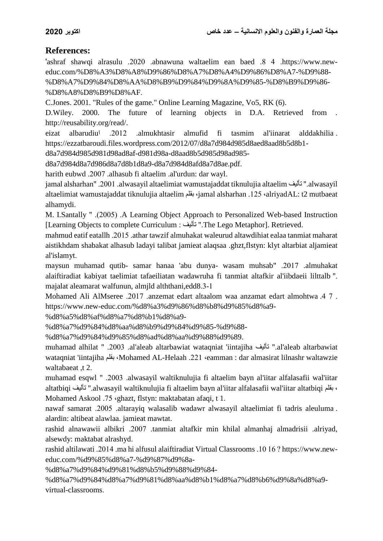# **References:**

'ashraf shawqi alrasulu .2020 .abnawuna waltaelim ean baed .8 4 .https://www.neweduc.com/%D8%A3%D8%A8%D9%86%D8%A7%D8%A4%D9%86%D8%A7-%D9%88- %D8%A7%D9%84%D8%AA%D8%B9%D9%84%D9%8A%D9%85-%D8%B9%D9%86- %D8%A8%D8%B9%D8%AF.

C.Jones. 2001. "Rules of the game." Online Learning Magazine, Vo5, RK (6).

D.Wiley. 2000. The future of learning objects in D.A. Retrieved from . http://reusability.org/read/.

eizat albarudiuا .2012 .almukhtasir almufid fi tasmim al'iinarat alddakhilia . https://ezzatbaroudi.files.wordpress.com/2012/07/d8a7d984d985d8aed8aad8b5d8b1-

d8a7d984d985d981d98ad8af-d981d98a-d8aad8b5d985d98ad985-

d8a7d984d8a7d986d8a7d8b1d8a9-d8a7d984d8afd8a7d8ae.pdf.

harith eubwd .2007 .alhasub fi altaelim .al'urdun: dar wayl.

jamal alsharhan" .2001 .alwasayil altaelimiat wamustajaddat tiknulujia altaelim تأليف" .alwasayil altaelimiat wamustajaddat tiknulujia altaelim بقلم ،jamal alsharhan .125 ،alriyadAL: t2 mutbaeat alhamydi.

M. I.Santally " .(2005) .A Learning Object Approach to Personalized Web-based Instruction [Learning Objects to complete Curriculum : تأليف" .The Lego Metaphor]. Retrieved.

mahmud eatif eatallh .2015 .athar tawzif almuhakat waleurud altawdihiat ealaa tanmiat maharat aistikhdam shabakat alhasub ladayi talibat jamieat alaqsaa .ghzt,flstyn: klyt altarbiat aljamieat al'islamyt.

maysun muhamad qutib- samar hanaa 'abu dunya- wasam muhsab" .2017 .almuhakat alaiftiradiat kabiyat taelimiat tafaeiliatan wadawruha fi tanmiat altafkir al'iibdaeii lilttalb ". majalat aleamarat walfunun, almjld alththani,edd8.3-1

Mohamed Ali AlMseree .2017 .anzemat edart altaalom waa anzamat edart almohtwa .4 7 . https://www.new-educ.com/%d8%a3%d9%86%d8%b8%d9%85%d8%a9-

%d8%a5%d8%af%d8%a7%d8%b1%d8%a9-

%d8%a7%d9%84%d8%aa%d8%b9%d9%84%d9%85-%d9%88-

%d8%a7%d9%84%d9%85%d8%ad%d8%aa%d9%88%d9%89.

muhamad alhilat " .2003 .al'aleab altarbawiat wataqniat 'iintajiha تأليف" .al'aleab altarbawiat wataqniat 'iintajiha بقلم ،Mohamed AL-Helaah .221 ،eamman : dar almasirat lilnashr waltawzie waltabaeat ,t 2.

muhamad esqwl " .2003 .alwasayil waltiknulujia fi altaelim bayn al'iitar alfalasafii wal'iitar altatbiqi تأليف" .alwasayil waltiknulujia fi altaelim bayn al'iitar alfalasafii wal'iitar altatbiqi بقلم ، Mohamed Askool .75 ،ghazt, flstyn: maktabatan afaqi, t 1.

nawaf samarat .2005 .altarayiq walasalib wadawr alwasayil altaelimiat fi tadris aleuluma . alardin: altibeat alawlaa. jamieat mawtat.

rashid alnawawii albikri .2007 .tanmiat altafkir min khilal almanhaj almadrisii .alriyad, alsewdy: maktabat alrashyd.

rashid altilawati .2014 .ma hi alfusul alaiftiradiat Virtual Classrooms .10 16 ? https://www.neweduc.com/%d9%85%d8%a7-%d9%87%d9%8a-

%d8%a7%d9%84%d9%81%d8%b5%d9%88%d9%84-

%d8%a7%d9%84%d8%a7%d9%81%d8%aa%d8%b1%d8%a7%d8%b6%d9%8a%d8%a9 virtual-classrooms.